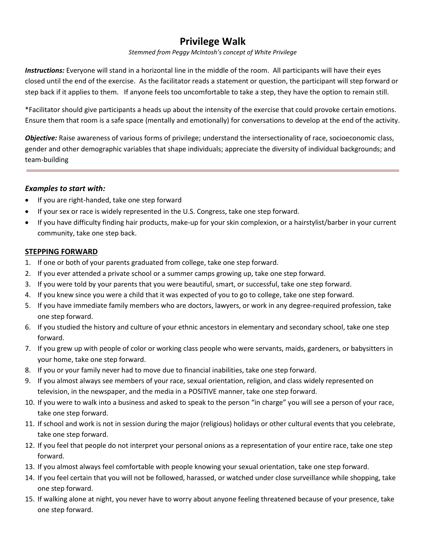# **Privilege Walk**

#### *Stemmed from Peggy McIntosh's concept of White Privilege*

*Instructions:* Everyone will stand in a horizontal line in the middle of the room. All participants will have their eyes closed until the end of the exercise. As the facilitator reads a statement or question, the participant will step forward or step back if it applies to them. If anyone feels too uncomfortable to take a step, they have the option to remain still.

\*Facilitator should give participants a heads up about the intensity of the exercise that could provoke certain emotions. Ensure them that room is a safe space (mentally and emotionally) for conversations to develop at the end of the activity.

*Objective:* Raise awareness of various forms of privilege; understand the intersectionality of race, socioeconomic class, gender and other demographic variables that shape individuals; appreciate the diversity of individual backgrounds; and team-building

### *Examples to start with:*

- If you are right-handed, take one step forward
- If your sex or race is widely represented in the U.S. Congress, take one step forward.
- If you have difficulty finding hair products, make-up for your skin complexion, or a hairstylist/barber in your current community, take one step back.

#### **STEPPING FORWARD**

- 1. If one or both of your parents graduated from college, take one step forward.
- 2. If you ever attended a private school or a summer camps growing up, take one step forward.
- 3. If you were told by your parents that you were beautiful, smart, or successful, take one step forward.
- 4. If you knew since you were a child that it was expected of you to go to college, take one step forward.
- 5. If you have immediate family members who are doctors, lawyers, or work in any degree-required profession, take one step forward.
- 6. If you studied the history and culture of your ethnic ancestors in elementary and secondary school, take one step forward.
- 7. If you grew up with people of color or working class people who were servants, maids, gardeners, or babysitters in your home, take one step forward.
- 8. If you or your family never had to move due to financial inabilities, take one step forward.
- 9. If you almost always see members of your race, sexual orientation, religion, and class widely represented on television, in the newspaper, and the media in a POSITIVE manner, take one step forward.
- 10. If you were to walk into a business and asked to speak to the person "in charge" you will see a person of your race, take one step forward.
- 11. If school and work is not in session during the major (religious) holidays or other cultural events that you celebrate, take one step forward.
- 12. If you feel that people do not interpret your personal onions as a representation of your entire race, take one step forward.
- 13. If you almost always feel comfortable with people knowing your sexual orientation, take one step forward.
- 14. If you feel certain that you will not be followed, harassed, or watched under close surveillance while shopping, take one step forward.
- 15. If walking alone at night, you never have to worry about anyone feeling threatened because of your presence, take one step forward.